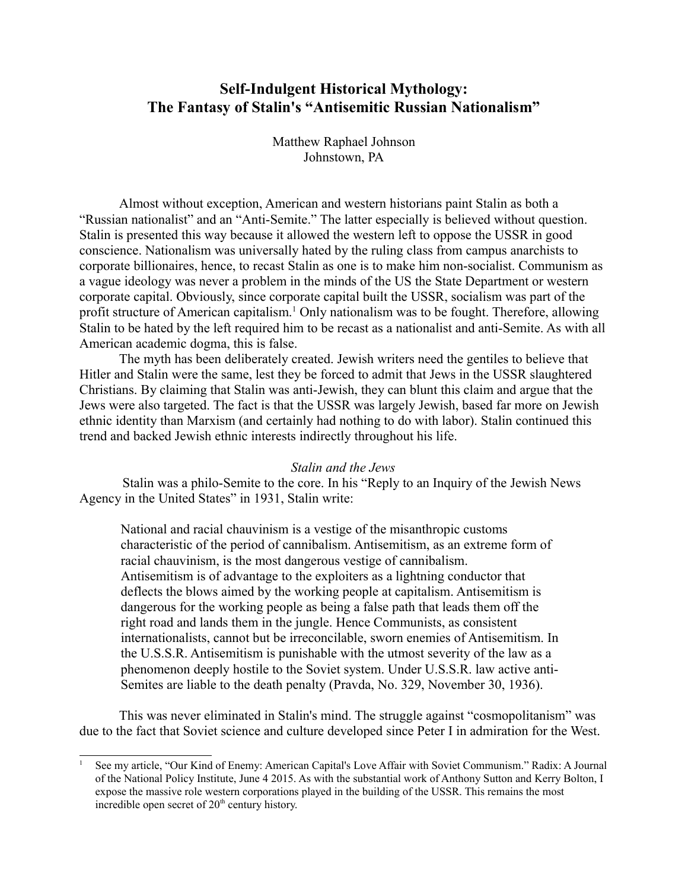# **Self-Indulgent Historical Mythology: The Fantasy of Stalin's "Antisemitic Russian Nationalism"**

Matthew Raphael Johnson Johnstown, PA

Almost without exception, American and western historians paint Stalin as both a "Russian nationalist" and an "Anti-Semite." The latter especially is believed without question. Stalin is presented this way because it allowed the western left to oppose the USSR in good conscience. Nationalism was universally hated by the ruling class from campus anarchists to corporate billionaires, hence, to recast Stalin as one is to make him non-socialist. Communism as a vague ideology was never a problem in the minds of the US the State Department or western corporate capital. Obviously, since corporate capital built the USSR, socialism was part of the profit structure of American capitalism.<sup>[1](#page-0-0)</sup> Only nationalism was to be fought. Therefore, allowing Stalin to be hated by the left required him to be recast as a nationalist and anti-Semite. As with all American academic dogma, this is false.

The myth has been deliberately created. Jewish writers need the gentiles to believe that Hitler and Stalin were the same, lest they be forced to admit that Jews in the USSR slaughtered Christians. By claiming that Stalin was anti-Jewish, they can blunt this claim and argue that the Jews were also targeted. The fact is that the USSR was largely Jewish, based far more on Jewish ethnic identity than Marxism (and certainly had nothing to do with labor). Stalin continued this trend and backed Jewish ethnic interests indirectly throughout his life.

#### *Stalin and the Jews*

 Stalin was a philo-Semite to the core. In his "Reply to an Inquiry of the Jewish News Agency in the United States" in 1931, Stalin write:

National and racial chauvinism is a vestige of the misanthropic customs characteristic of the period of cannibalism. Antisemitism, as an extreme form of racial chauvinism, is the most dangerous vestige of cannibalism. Antisemitism is of advantage to the exploiters as a lightning conductor that deflects the blows aimed by the working people at capitalism. Antisemitism is dangerous for the working people as being a false path that leads them off the right road and lands them in the jungle. Hence Communists, as consistent internationalists, cannot but be irreconcilable, sworn enemies of Antisemitism. In the U.S.S.R. Antisemitism is punishable with the utmost severity of the law as a phenomenon deeply hostile to the Soviet system. Under U.S.S.R. law active anti-Semites are liable to the death penalty (Pravda, No. 329, November 30, 1936).

This was never eliminated in Stalin's mind. The struggle against "cosmopolitanism" was due to the fact that Soviet science and culture developed since Peter I in admiration for the West.

<span id="page-0-0"></span><sup>1</sup> See my article, "Our Kind of Enemy: American Capital's Love Affair with Soviet Communism." Radix: A Journal of the National Policy Institute, June 4 2015. As with the substantial work of Anthony Sutton and Kerry Bolton, I expose the massive role western corporations played in the building of the USSR. This remains the most incredible open secret of  $20<sup>th</sup>$  century history.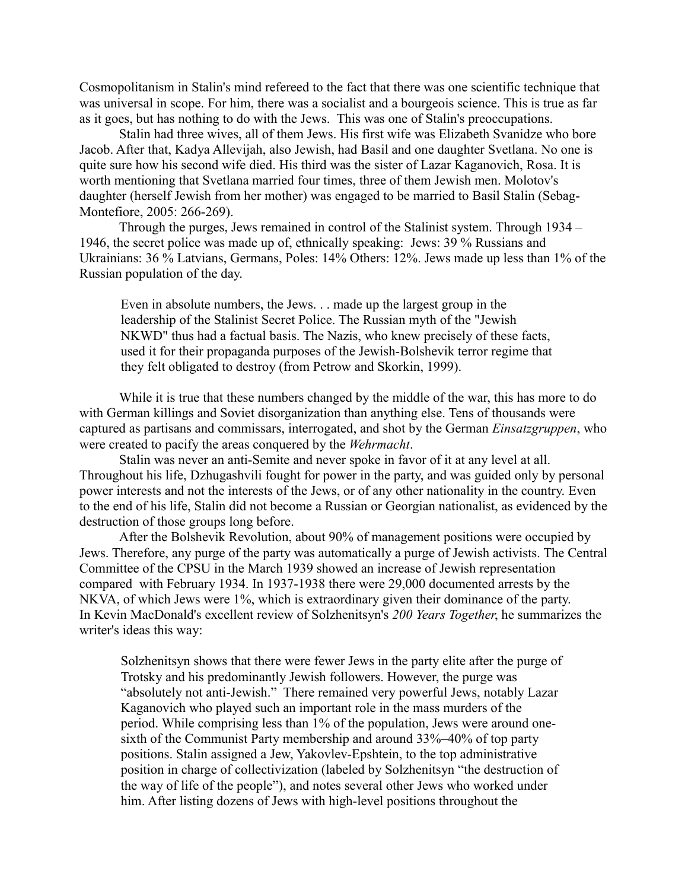Cosmopolitanism in Stalin's mind refereed to the fact that there was one scientific technique that was universal in scope. For him, there was a socialist and a bourgeois science. This is true as far as it goes, but has nothing to do with the Jews. This was one of Stalin's preoccupations.

Stalin had three wives, all of them Jews. His first wife was Elizabeth Svanidze who bore Jacob. After that, Kadya Allevijah, also Jewish, had Basil and one daughter Svetlana. No one is quite sure how his second wife died. His third was the sister of Lazar Kaganovich, Rosa. It is worth mentioning that Svetlana married four times, three of them Jewish men. Molotov's daughter (herself Jewish from her mother) was engaged to be married to Basil Stalin (Sebag-Montefiore, 2005: 266-269).

Through the purges, Jews remained in control of the Stalinist system. Through 1934 – 1946, the secret police was made up of, ethnically speaking: Jews: 39 % Russians and Ukrainians: 36 % Latvians, Germans, Poles: 14% Others: 12%. Jews made up less than 1% of the Russian population of the day.

Even in absolute numbers, the Jews. . . made up the largest group in the leadership of the Stalinist Secret Police. The Russian myth of the "Jewish NKWD" thus had a factual basis. The Nazis, who knew precisely of these facts, used it for their propaganda purposes of the Jewish-Bolshevik terror regime that they felt obligated to destroy (from Petrow and Skorkin, 1999).

While it is true that these numbers changed by the middle of the war, this has more to do with German killings and Soviet disorganization than anything else. Tens of thousands were captured as partisans and commissars, interrogated, and shot by the German *Einsatzgruppen*, who were created to pacify the areas conquered by the *Wehrmacht*.

Stalin was never an anti-Semite and never spoke in favor of it at any level at all. Throughout his life, Dzhugashvili fought for power in the party, and was guided only by personal power interests and not the interests of the Jews, or of any other nationality in the country. Even to the end of his life, Stalin did not become a Russian or Georgian nationalist, as evidenced by the destruction of those groups long before.

After the Bolshevik Revolution, about 90% of management positions were occupied by Jews. Therefore, any purge of the party was automatically a purge of Jewish activists. The Central Committee of the CPSU in the March 1939 showed an increase of Jewish representation compared with February 1934. In 1937-1938 there were 29,000 documented arrests by the NKVA, of which Jews were 1%, which is extraordinary given their dominance of the party. In Kevin MacDonald's excellent review of Solzhenitsyn's *200 Years Together*, he summarizes the writer's ideas this way:

Solzhenitsyn shows that there were fewer Jews in the party elite after the purge of Trotsky and his predominantly Jewish followers. However, the purge was "absolutely not anti-Jewish." There remained very powerful Jews, notably Lazar Kaganovich who played such an important role in the mass murders of the period. While comprising less than 1% of the population, Jews were around onesixth of the Communist Party membership and around 33%–40% of top party positions. Stalin assigned a Jew, Yakovlev-Epshtein, to the top administrative position in charge of collectivization (labeled by Solzhenitsyn "the destruction of the way of life of the people"), and notes several other Jews who worked under him. After listing dozens of Jews with high-level positions throughout the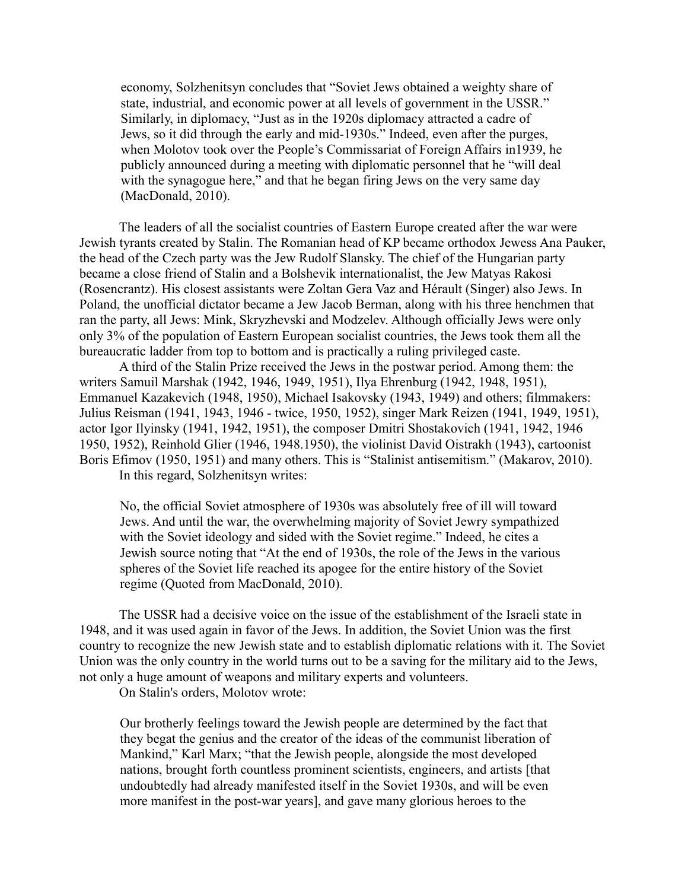economy, Solzhenitsyn concludes that "Soviet Jews obtained a weighty share of state, industrial, and economic power at all levels of government in the USSR." Similarly, in diplomacy, "Just as in the 1920s diplomacy attracted a cadre of Jews, so it did through the early and mid-1930s." Indeed, even after the purges, when Molotov took over the People's Commissariat of Foreign Affairs in1939, he publicly announced during a meeting with diplomatic personnel that he "will deal with the synagogue here," and that he began firing Jews on the very same day (MacDonald, 2010).

The leaders of all the socialist countries of Eastern Europe created after the war were Jewish tyrants created by Stalin. The Romanian head of KP became orthodox Jewess Ana Pauker, the head of the Czech party was the Jew Rudolf Slansky. The chief of the Hungarian party became a close friend of Stalin and a Bolshevik internationalist, the Jew Matyas Rakosi (Rosencrantz). His closest assistants were Zoltan Gera Vaz and Hérault (Singer) also Jews. In Poland, the unofficial dictator became a Jew Jacob Berman, along with his three henchmen that ran the party, all Jews: Mink, Skryzhevski and Modzelev. Although officially Jews were only only 3% of the population of Eastern European socialist countries, the Jews took them all the bureaucratic ladder from top to bottom and is practically a ruling privileged caste.

A third of the Stalin Prize received the Jews in the postwar period. Among them: the writers Samuil Marshak (1942, 1946, 1949, 1951), Ilya Ehrenburg (1942, 1948, 1951), Emmanuel Kazakevich (1948, 1950), Michael Isakovsky (1943, 1949) and others; filmmakers: Julius Reisman (1941, 1943, 1946 - twice, 1950, 1952), singer Mark Reizen (1941, 1949, 1951), actor Igor Ilyinsky (1941, 1942, 1951), the composer Dmitri Shostakovich (1941, 1942, 1946 1950, 1952), Reinhold Glier (1946, 1948.1950), the violinist David Oistrakh (1943), cartoonist Boris Efimov (1950, 1951) and many others. This is "Stalinist antisemitism." (Makarov, 2010). In this regard, Solzhenitsyn writes:

No, the official Soviet atmosphere of 1930s was absolutely free of ill will toward Jews. And until the war, the overwhelming majority of Soviet Jewry sympathized with the Soviet ideology and sided with the Soviet regime." Indeed, he cites a Jewish source noting that "At the end of 1930s, the role of the Jews in the various spheres of the Soviet life reached its apogee for the entire history of the Soviet regime (Quoted from MacDonald, 2010).

The USSR had a decisive voice on the issue of the establishment of the Israeli state in 1948, and it was used again in favor of the Jews. In addition, the Soviet Union was the first country to recognize the new Jewish state and to establish diplomatic relations with it. The Soviet Union was the only country in the world turns out to be a saving for the military aid to the Jews, not only a huge amount of weapons and military experts and volunteers.

On Stalin's orders, Molotov wrote:

Our brotherly feelings toward the Jewish people are determined by the fact that they begat the genius and the creator of the ideas of the communist liberation of Mankind," Karl Marx; "that the Jewish people, alongside the most developed nations, brought forth countless prominent scientists, engineers, and artists [that undoubtedly had already manifested itself in the Soviet 1930s, and will be even more manifest in the post-war years], and gave many glorious heroes to the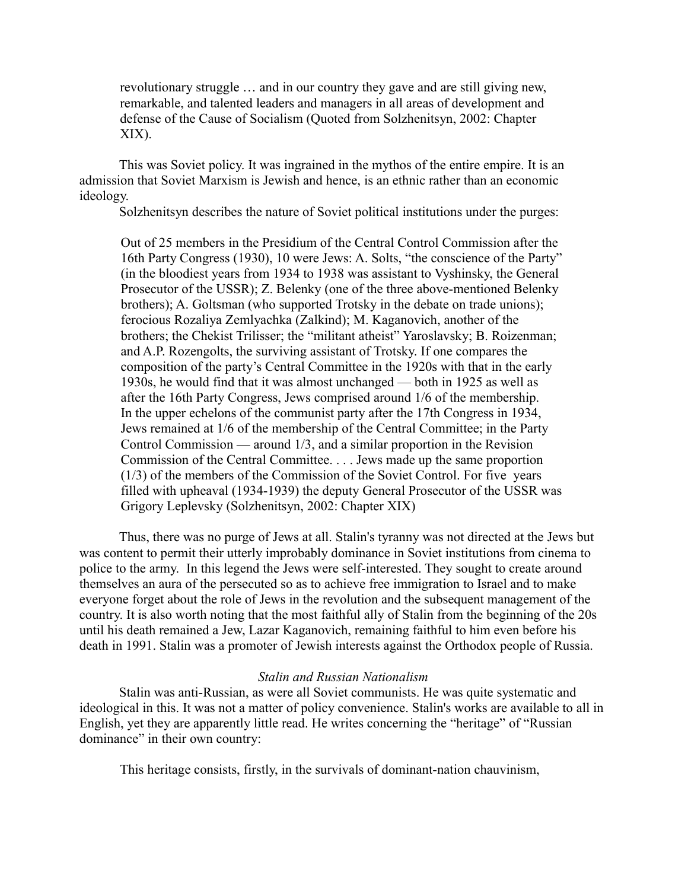revolutionary struggle … and in our country they gave and are still giving new, remarkable, and talented leaders and managers in all areas of development and defense of the Cause of Socialism (Quoted from Solzhenitsyn, 2002: Chapter XIX).

This was Soviet policy. It was ingrained in the mythos of the entire empire. It is an admission that Soviet Marxism is Jewish and hence, is an ethnic rather than an economic ideology.

Solzhenitsyn describes the nature of Soviet political institutions under the purges:

Out of 25 members in the Presidium of the Central Control Commission after the 16th Party Congress (1930), 10 were Jews: A. Solts, "the conscience of the Party" (in the bloodiest years from 1934 to 1938 was assistant to Vyshinsky, the General Prosecutor of the USSR); Z. Belenky (one of the three above-mentioned Belenky brothers); A. Goltsman (who supported Trotsky in the debate on trade unions); ferocious Rozaliya Zemlyachka (Zalkind); M. Kaganovich, another of the brothers; the Chekist Trilisser; the "militant atheist" Yaroslavsky; B. Roizenman; and A.P. Rozengolts, the surviving assistant of Trotsky. If one compares the composition of the party's Central Committee in the 1920s with that in the early 1930s, he would find that it was almost unchanged — both in 1925 as well as after the 16th Party Congress, Jews comprised around 1/6 of the membership. In the upper echelons of the communist party after the 17th Congress in 1934, Jews remained at 1/6 of the membership of the Central Committee; in the Party Control Commission — around 1/3, and a similar proportion in the Revision Commission of the Central Committee. . . . Jews made up the same proportion (1/3) of the members of the Commission of the Soviet Control. For five years filled with upheaval (1934-1939) the deputy General Prosecutor of the USSR was Grigory Leplevsky (Solzhenitsyn, 2002: Chapter XIX)

Thus, there was no purge of Jews at all. Stalin's tyranny was not directed at the Jews but was content to permit their utterly improbably dominance in Soviet institutions from cinema to police to the army. In this legend the Jews were self-interested. They sought to create around themselves an aura of the persecuted so as to achieve free immigration to Israel and to make everyone forget about the role of Jews in the revolution and the subsequent management of the country. It is also worth noting that the most faithful ally of Stalin from the beginning of the 20s until his death remained a Jew, Lazar Kaganovich, remaining faithful to him even before his death in 1991. Stalin was a promoter of Jewish interests against the Orthodox people of Russia.

#### *Stalin and Russian Nationalism*

Stalin was anti-Russian, as were all Soviet communists. He was quite systematic and ideological in this. It was not a matter of policy convenience. Stalin's works are available to all in English, yet they are apparently little read. He writes concerning the "heritage" of "Russian dominance" in their own country:

This heritage consists, firstly, in the survivals of dominant-nation chauvinism,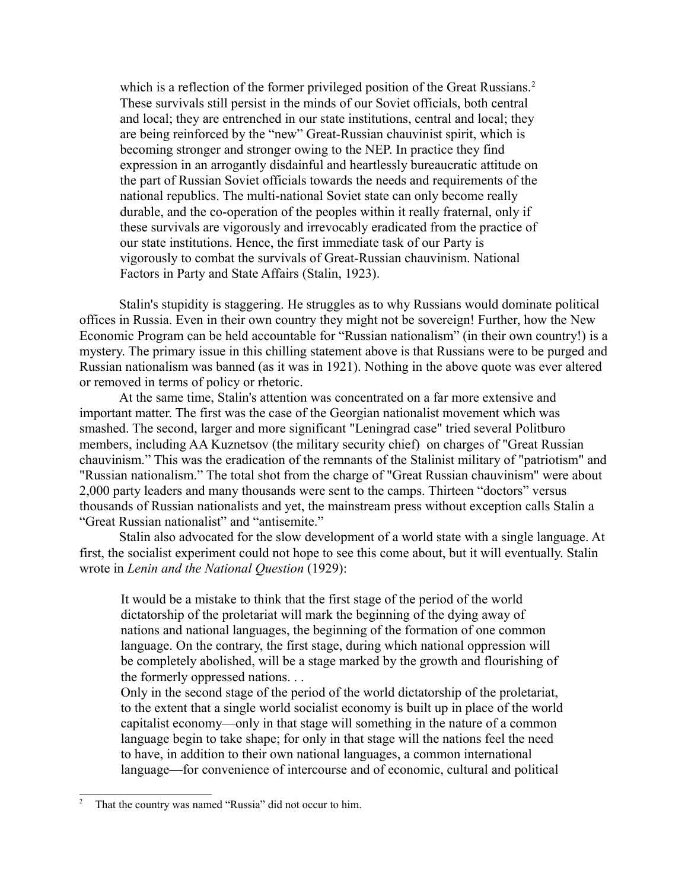which is a reflection of the former privileged position of the Great Russians.<sup>[2](#page-4-0)</sup> These survivals still persist in the minds of our Soviet officials, both central and local; they are entrenched in our state institutions, central and local; they are being reinforced by the "new" Great-Russian chauvinist spirit, which is becoming stronger and stronger owing to the NEP. In practice they find expression in an arrogantly disdainful and heartlessly bureaucratic attitude on the part of Russian Soviet officials towards the needs and requirements of the national republics. The multi-national Soviet state can only become really durable, and the co-operation of the peoples within it really fraternal, only if these survivals are vigorously and irrevocably eradicated from the practice of our state institutions. Hence, the first immediate task of our Party is vigorously to combat the survivals of Great-Russian chauvinism. National Factors in Party and State Affairs (Stalin, 1923).

Stalin's stupidity is staggering. He struggles as to why Russians would dominate political offices in Russia. Even in their own country they might not be sovereign! Further, how the New Economic Program can be held accountable for "Russian nationalism" (in their own country!) is a mystery. The primary issue in this chilling statement above is that Russians were to be purged and Russian nationalism was banned (as it was in 1921). Nothing in the above quote was ever altered or removed in terms of policy or rhetoric.

At the same time, Stalin's attention was concentrated on a far more extensive and important matter. The first was the case of the Georgian nationalist movement which was smashed. The second, larger and more significant "Leningrad case" tried several Politburo members, including AA Kuznetsov (the military security chief) on charges of "Great Russian chauvinism." This was the eradication of the remnants of the Stalinist military of "patriotism" and "Russian nationalism." The total shot from the charge of "Great Russian chauvinism" were about 2,000 party leaders and many thousands were sent to the camps. Thirteen "doctors" versus thousands of Russian nationalists and yet, the mainstream press without exception calls Stalin a "Great Russian nationalist" and "antisemite."

Stalin also advocated for the slow development of a world state with a single language. At first, the socialist experiment could not hope to see this come about, but it will eventually. Stalin wrote in *Lenin and the National Question* (1929):

It would be a mistake to think that the first stage of the period of the world dictatorship of the proletariat will mark the beginning of the dying away of nations and national languages, the beginning of the formation of one common language. On the contrary, the first stage, during which national oppression will be completely abolished, will be a stage marked by the growth and flourishing of the formerly oppressed nations. . .

Only in the second stage of the period of the world dictatorship of the proletariat, to the extent that a single world socialist economy is built up in place of the world capitalist economy—only in that stage will something in the nature of a common language begin to take shape; for only in that stage will the nations feel the need to have, in addition to their own national languages, a common international language—for convenience of intercourse and of economic, cultural and political

<span id="page-4-0"></span>That the country was named "Russia" did not occur to him.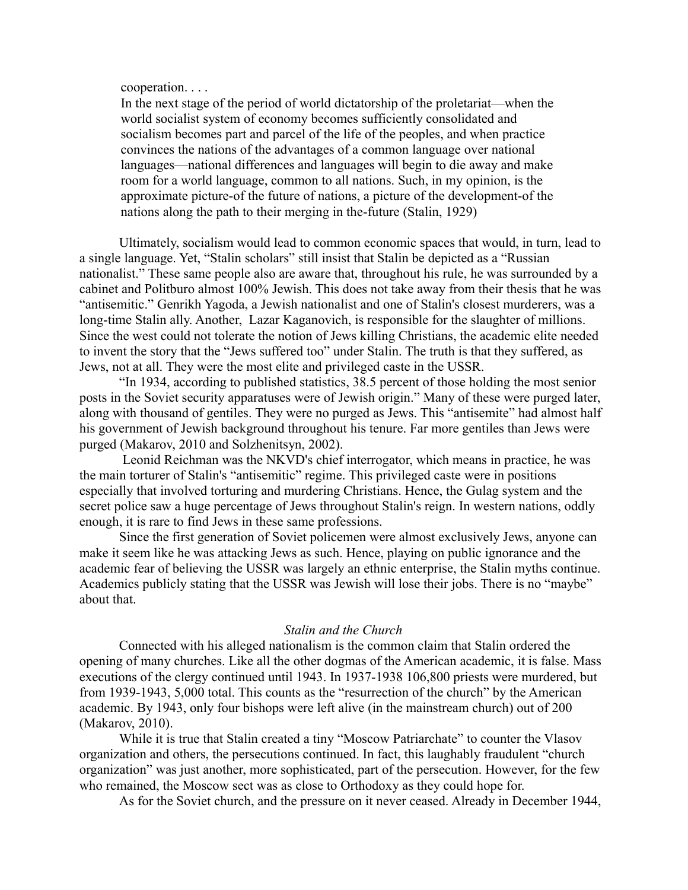### cooperation. . . .

In the next stage of the period of world dictatorship of the proletariat—when the world socialist system of economy becomes sufficiently consolidated and socialism becomes part and parcel of the life of the peoples, and when practice convinces the nations of the advantages of a common language over national languages—national differences and languages will begin to die away and make room for a world language, common to all nations. Such, in my opinion, is the approximate picture-of the future of nations, a picture of the development-of the nations along the path to their merging in the-future (Stalin, 1929)

Ultimately, socialism would lead to common economic spaces that would, in turn, lead to a single language. Yet, "Stalin scholars" still insist that Stalin be depicted as a "Russian nationalist." These same people also are aware that, throughout his rule, he was surrounded by a cabinet and Politburo almost 100% Jewish. This does not take away from their thesis that he was "antisemitic." Genrikh Yagoda, a Jewish nationalist and one of Stalin's closest murderers, was a long-time Stalin ally. Another, Lazar Kaganovich, is responsible for the slaughter of millions. Since the west could not tolerate the notion of Jews killing Christians, the academic elite needed to invent the story that the "Jews suffered too" under Stalin. The truth is that they suffered, as Jews, not at all. They were the most elite and privileged caste in the USSR.

"In 1934, according to published statistics, 38.5 percent of those holding the most senior posts in the Soviet security apparatuses were of Jewish origin." Many of these were purged later, along with thousand of gentiles. They were no purged as Jews. This "antisemite" had almost half his government of Jewish background throughout his tenure. Far more gentiles than Jews were purged (Makarov, 2010 and Solzhenitsyn, 2002).

 Leonid Reichman was the NKVD's chief interrogator, which means in practice, he was the main torturer of Stalin's "antisemitic" regime. This privileged caste were in positions especially that involved torturing and murdering Christians. Hence, the Gulag system and the secret police saw a huge percentage of Jews throughout Stalin's reign. In western nations, oddly enough, it is rare to find Jews in these same professions.

Since the first generation of Soviet policemen were almost exclusively Jews, anyone can make it seem like he was attacking Jews as such. Hence, playing on public ignorance and the academic fear of believing the USSR was largely an ethnic enterprise, the Stalin myths continue. Academics publicly stating that the USSR was Jewish will lose their jobs. There is no "maybe" about that.

#### *Stalin and the Church*

Connected with his alleged nationalism is the common claim that Stalin ordered the opening of many churches. Like all the other dogmas of the American academic, it is false. Mass executions of the clergy continued until 1943. In 1937-1938 106,800 priests were murdered, but from 1939-1943, 5,000 total. This counts as the "resurrection of the church" by the American academic. By 1943, only four bishops were left alive (in the mainstream church) out of 200 (Makarov, 2010).

While it is true that Stalin created a tiny "Moscow Patriarchate" to counter the Vlasov organization and others, the persecutions continued. In fact, this laughably fraudulent "church organization" was just another, more sophisticated, part of the persecution. However, for the few who remained, the Moscow sect was as close to Orthodoxy as they could hope for.

As for the Soviet church, and the pressure on it never ceased. Already in December 1944,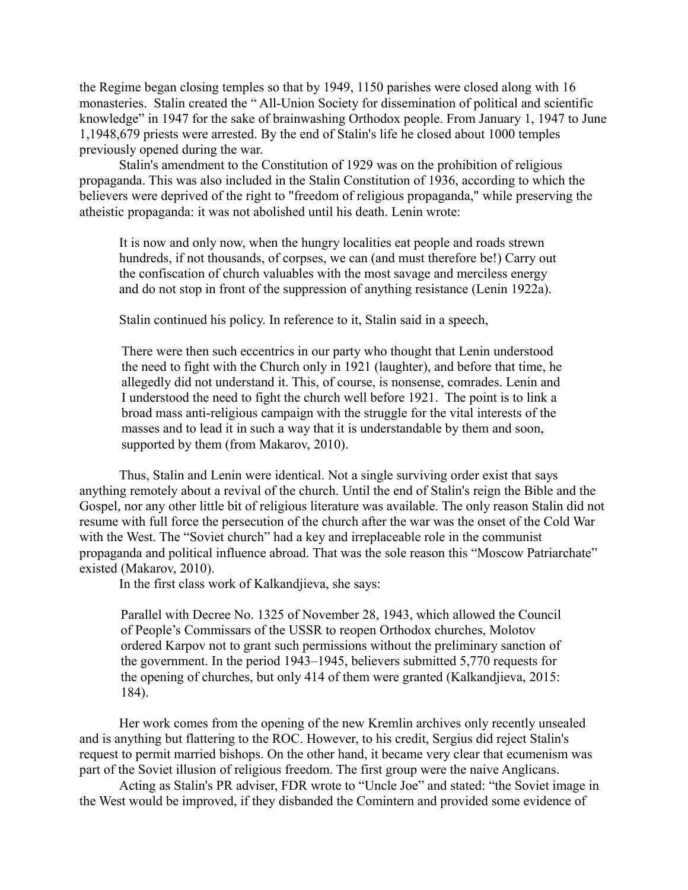the Regime began closing temples so that by 1949, 1150 parishes were closed along with 16 monasteries. Stalin created the " All-Union Society for dissemination of political and scientific knowledge" in 1947 for the sake of brainwashing Orthodox people. From January 1, 1947 to June 1,1948,679 priests were arrested. By the end of Stalin's life he closed about 1000 temples previously opened during the war.

Stalin's amendment to the Constitution of 1929 was on the prohibition of religious propaganda. This was also included in the Stalin Constitution of 1936, according to which the believers were deprived of the right to "freedom of religious propaganda," while preserving the atheistic propaganda: it was not abolished until his death. Lenin wrote:

It is now and only now, when the hungry localities eat people and roads strewn hundreds, if not thousands, of corpses, we can (and must therefore be!) Carry out the confiscation of church valuables with the most savage and merciless energy and do not stop in front of the suppression of anything resistance (Lenin 1922a).

Stalin continued his policy. In reference to it, Stalin said in a speech,

There were then such eccentrics in our party who thought that Lenin understood the need to fight with the Church only in 1921 (laughter), and before that time, he allegedly did not understand it. This, of course, is nonsense, comrades. Lenin and I understood the need to fight the church well before 1921. The point is to link a broad mass anti-religious campaign with the struggle for the vital interests of the masses and to lead it in such a way that it is understandable by them and soon, supported by them (from Makarov, 2010).

Thus, Stalin and Lenin were identical. Not a single surviving order exist that says anything remotely about a revival of the church. Until the end of Stalin's reign the Bible and the Gospel, nor any other little bit of religious literature was available. The only reason Stalin did not resume with full force the persecution of the church after the war was the onset of the Cold War with the West. The "Soviet church" had a key and irreplaceable role in the communist propaganda and political influence abroad. That was the sole reason this "Moscow Patriarchate" existed (Makarov, 2010).

In the first class work of Kalkandjieva, she says:

Parallel with Decree No. 1325 of November 28, 1943, which allowed the Council of People's Commissars of the USSR to reopen Orthodox churches, Molotov ordered Karpov not to grant such permissions without the preliminary sanction of the government. In the period 1943–1945, believers submitted 5,770 requests for the opening of churches, but only 414 of them were granted (Kalkandjieva, 2015: 184).

Her work comes from the opening of the new Kremlin archives only recently unsealed and is anything but flattering to the ROC. However, to his credit, Sergius did reject Stalin's request to permit married bishops. On the other hand, it became very clear that ecumenism was part of the Soviet illusion of religious freedom. The first group were the naive Anglicans.

Acting as Stalin's PR adviser, FDR wrote to "Uncle Joe" and stated: "the Soviet image in the West would be improved, if they disbanded the Comintern and provided some evidence of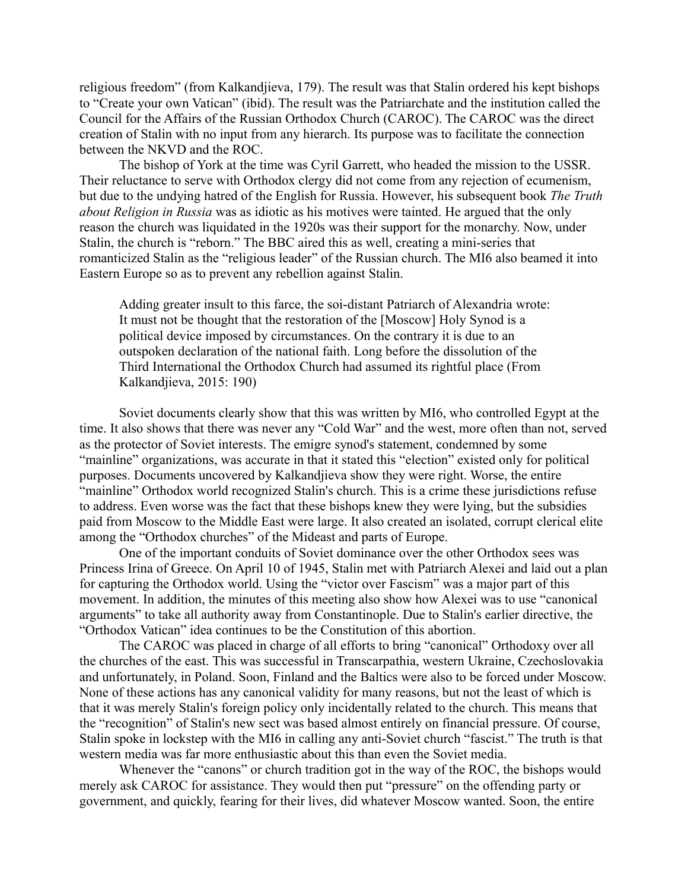religious freedom" (from Kalkandjieva, 179). The result was that Stalin ordered his kept bishops to "Create your own Vatican" (ibid). The result was the Patriarchate and the institution called the Council for the Affairs of the Russian Orthodox Church (CAROC). The CAROC was the direct creation of Stalin with no input from any hierarch. Its purpose was to facilitate the connection between the NKVD and the ROC.

The bishop of York at the time was Cyril Garrett, who headed the mission to the USSR. Their reluctance to serve with Orthodox clergy did not come from any rejection of ecumenism, but due to the undying hatred of the English for Russia. However, his subsequent book *The Truth about Religion in Russia* was as idiotic as his motives were tainted. He argued that the only reason the church was liquidated in the 1920s was their support for the monarchy. Now, under Stalin, the church is "reborn." The BBC aired this as well, creating a mini-series that romanticized Stalin as the "religious leader" of the Russian church. The MI6 also beamed it into Eastern Europe so as to prevent any rebellion against Stalin.

Adding greater insult to this farce, the soi-distant Patriarch of Alexandria wrote: It must not be thought that the restoration of the [Moscow] Holy Synod is a political device imposed by circumstances. On the contrary it is due to an outspoken declaration of the national faith. Long before the dissolution of the Third International the Orthodox Church had assumed its rightful place (From Kalkandjieva, 2015: 190)

Soviet documents clearly show that this was written by MI6, who controlled Egypt at the time. It also shows that there was never any "Cold War" and the west, more often than not, served as the protector of Soviet interests. The emigre synod's statement, condemned by some "mainline" organizations, was accurate in that it stated this "election" existed only for political purposes. Documents uncovered by Kalkandjieva show they were right. Worse, the entire "mainline" Orthodox world recognized Stalin's church. This is a crime these jurisdictions refuse to address. Even worse was the fact that these bishops knew they were lying, but the subsidies paid from Moscow to the Middle East were large. It also created an isolated, corrupt clerical elite among the "Orthodox churches" of the Mideast and parts of Europe.

One of the important conduits of Soviet dominance over the other Orthodox sees was Princess Irina of Greece. On April 10 of 1945, Stalin met with Patriarch Alexei and laid out a plan for capturing the Orthodox world. Using the "victor over Fascism" was a major part of this movement. In addition, the minutes of this meeting also show how Alexei was to use "canonical arguments" to take all authority away from Constantinople. Due to Stalin's earlier directive, the "Orthodox Vatican" idea continues to be the Constitution of this abortion.

The CAROC was placed in charge of all efforts to bring "canonical" Orthodoxy over all the churches of the east. This was successful in Transcarpathia, western Ukraine, Czechoslovakia and unfortunately, in Poland. Soon, Finland and the Baltics were also to be forced under Moscow. None of these actions has any canonical validity for many reasons, but not the least of which is that it was merely Stalin's foreign policy only incidentally related to the church. This means that the "recognition" of Stalin's new sect was based almost entirely on financial pressure. Of course, Stalin spoke in lockstep with the MI6 in calling any anti-Soviet church "fascist." The truth is that western media was far more enthusiastic about this than even the Soviet media.

Whenever the "canons" or church tradition got in the way of the ROC, the bishops would merely ask CAROC for assistance. They would then put "pressure" on the offending party or government, and quickly, fearing for their lives, did whatever Moscow wanted. Soon, the entire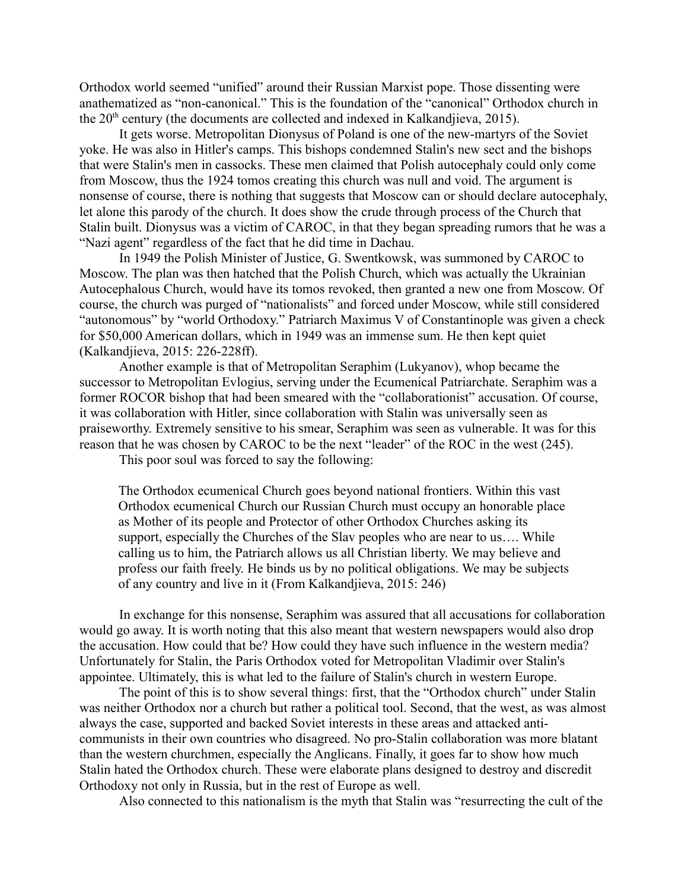Orthodox world seemed "unified" around their Russian Marxist pope. Those dissenting were anathematized as "non-canonical." This is the foundation of the "canonical" Orthodox church in the  $20<sup>th</sup>$  century (the documents are collected and indexed in Kalkandiieva, 2015).

It gets worse. Metropolitan Dionysus of Poland is one of the new-martyrs of the Soviet yoke. He was also in Hitler's camps. This bishops condemned Stalin's new sect and the bishops that were Stalin's men in cassocks. These men claimed that Polish autocephaly could only come from Moscow, thus the 1924 tomos creating this church was null and void. The argument is nonsense of course, there is nothing that suggests that Moscow can or should declare autocephaly, let alone this parody of the church. It does show the crude through process of the Church that Stalin built. Dionysus was a victim of CAROC, in that they began spreading rumors that he was a "Nazi agent" regardless of the fact that he did time in Dachau.

In 1949 the Polish Minister of Justice, G. Swentkowsk, was summoned by CAROC to Moscow. The plan was then hatched that the Polish Church, which was actually the Ukrainian Autocephalous Church, would have its tomos revoked, then granted a new one from Moscow. Of course, the church was purged of "nationalists" and forced under Moscow, while still considered "autonomous" by "world Orthodoxy." Patriarch Maximus V of Constantinople was given a check for \$50,000 American dollars, which in 1949 was an immense sum. He then kept quiet (Kalkandjieva, 2015: 226-228ff).

Another example is that of Metropolitan Seraphim (Lukyanov), whop became the successor to Metropolitan Evlogius, serving under the Ecumenical Patriarchate. Seraphim was a former ROCOR bishop that had been smeared with the "collaborationist" accusation. Of course, it was collaboration with Hitler, since collaboration with Stalin was universally seen as praiseworthy. Extremely sensitive to his smear, Seraphim was seen as vulnerable. It was for this reason that he was chosen by CAROC to be the next "leader" of the ROC in the west (245).

This poor soul was forced to say the following:

The Orthodox ecumenical Church goes beyond national frontiers. Within this vast Orthodox ecumenical Church our Russian Church must occupy an honorable place as Mother of its people and Protector of other Orthodox Churches asking its support, especially the Churches of the Slav peoples who are near to us…. While calling us to him, the Patriarch allows us all Christian liberty. We may believe and profess our faith freely. He binds us by no political obligations. We may be subjects of any country and live in it (From Kalkandjieva, 2015: 246)

In exchange for this nonsense, Seraphim was assured that all accusations for collaboration would go away. It is worth noting that this also meant that western newspapers would also drop the accusation. How could that be? How could they have such influence in the western media? Unfortunately for Stalin, the Paris Orthodox voted for Metropolitan Vladimir over Stalin's appointee. Ultimately, this is what led to the failure of Stalin's church in western Europe.

The point of this is to show several things: first, that the "Orthodox church" under Stalin was neither Orthodox nor a church but rather a political tool. Second, that the west, as was almost always the case, supported and backed Soviet interests in these areas and attacked anticommunists in their own countries who disagreed. No pro-Stalin collaboration was more blatant than the western churchmen, especially the Anglicans. Finally, it goes far to show how much Stalin hated the Orthodox church. These were elaborate plans designed to destroy and discredit Orthodoxy not only in Russia, but in the rest of Europe as well.

Also connected to this nationalism is the myth that Stalin was "resurrecting the cult of the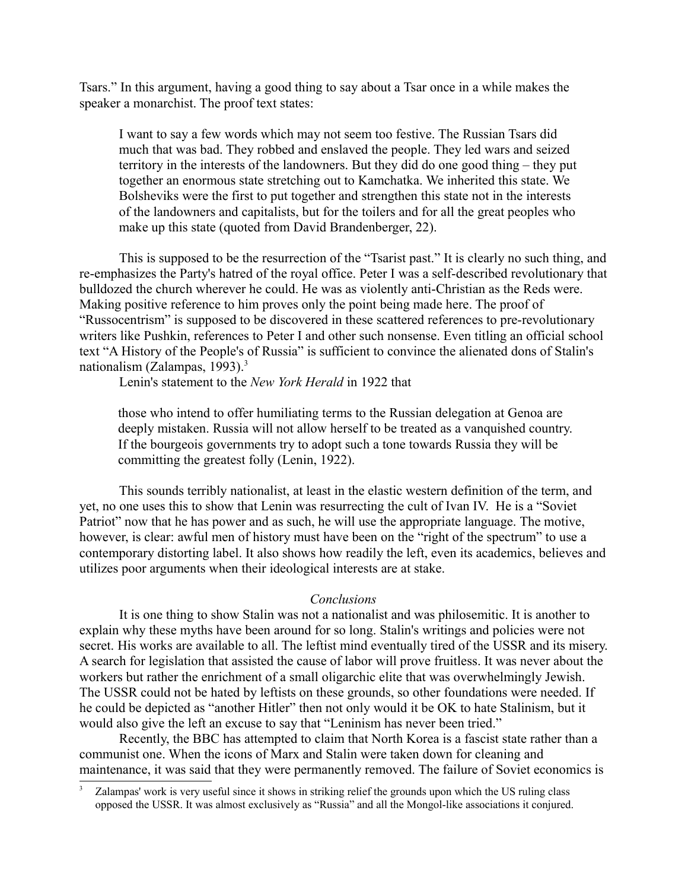Tsars." In this argument, having a good thing to say about a Tsar once in a while makes the speaker a monarchist. The proof text states:

I want to say a few words which may not seem too festive. The Russian Tsars did much that was bad. They robbed and enslaved the people. They led wars and seized territory in the interests of the landowners. But they did do one good thing – they put together an enormous state stretching out to Kamchatka. We inherited this state. We Bolsheviks were the first to put together and strengthen this state not in the interests of the landowners and capitalists, but for the toilers and for all the great peoples who make up this state (quoted from David Brandenberger, 22).

This is supposed to be the resurrection of the "Tsarist past." It is clearly no such thing, and re-emphasizes the Party's hatred of the royal office. Peter I was a self-described revolutionary that bulldozed the church wherever he could. He was as violently anti-Christian as the Reds were. Making positive reference to him proves only the point being made here. The proof of "Russocentrism" is supposed to be discovered in these scattered references to pre-revolutionary writers like Pushkin, references to Peter I and other such nonsense. Even titling an official school text "A History of the People's of Russia" is sufficient to convince the alienated dons of Stalin's nationalism (Zalampas, 199[3](#page-9-0)). $3$ 

Lenin's statement to the *New York Herald* in 1922 that

those who intend to offer humiliating terms to the Russian delegation at Genoa are deeply mistaken. Russia will not allow herself to be treated as a vanquished country. If the bourgeois governments try to adopt such a tone towards Russia they will be committing the greatest folly (Lenin, 1922).

This sounds terribly nationalist, at least in the elastic western definition of the term, and yet, no one uses this to show that Lenin was resurrecting the cult of Ivan IV. He is a "Soviet Patriot" now that he has power and as such, he will use the appropriate language. The motive, however, is clear: awful men of history must have been on the "right of the spectrum" to use a contemporary distorting label. It also shows how readily the left, even its academics, believes and utilizes poor arguments when their ideological interests are at stake.

#### *Conclusions*

It is one thing to show Stalin was not a nationalist and was philosemitic. It is another to explain why these myths have been around for so long. Stalin's writings and policies were not secret. His works are available to all. The leftist mind eventually tired of the USSR and its misery. A search for legislation that assisted the cause of labor will prove fruitless. It was never about the workers but rather the enrichment of a small oligarchic elite that was overwhelmingly Jewish. The USSR could not be hated by leftists on these grounds, so other foundations were needed. If he could be depicted as "another Hitler" then not only would it be OK to hate Stalinism, but it would also give the left an excuse to say that "Leninism has never been tried."

Recently, the BBC has attempted to claim that North Korea is a fascist state rather than a communist one. When the icons of Marx and Stalin were taken down for cleaning and maintenance, it was said that they were permanently removed. The failure of Soviet economics is

<span id="page-9-0"></span><sup>3</sup> Zalampas' work is very useful since it shows in striking relief the grounds upon which the US ruling class opposed the USSR. It was almost exclusively as "Russia" and all the Mongol-like associations it conjured.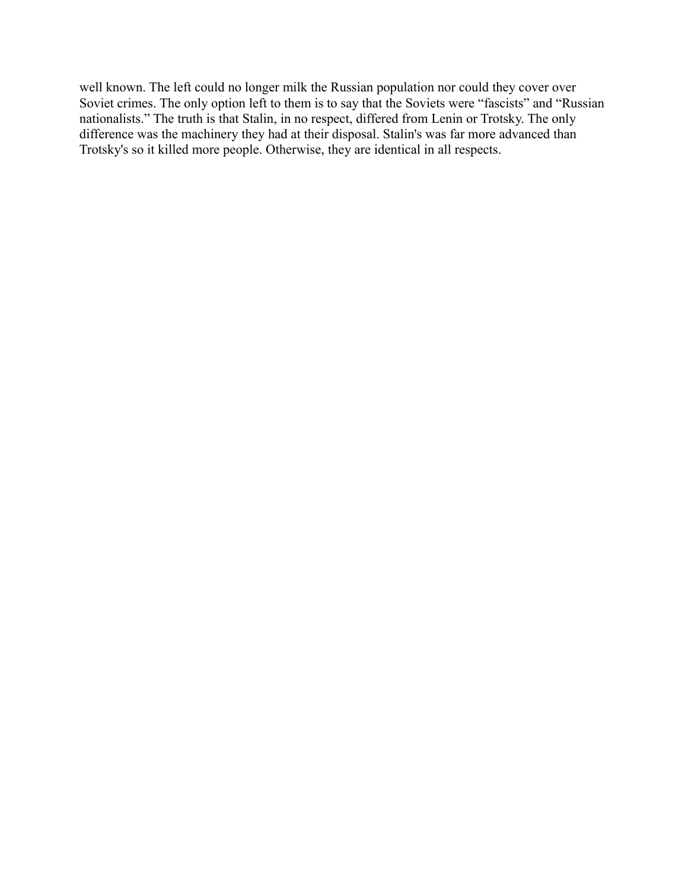well known. The left could no longer milk the Russian population nor could they cover over Soviet crimes. The only option left to them is to say that the Soviets were "fascists" and "Russian nationalists." The truth is that Stalin, in no respect, differed from Lenin or Trotsky. The only difference was the machinery they had at their disposal. Stalin's was far more advanced than Trotsky's so it killed more people. Otherwise, they are identical in all respects.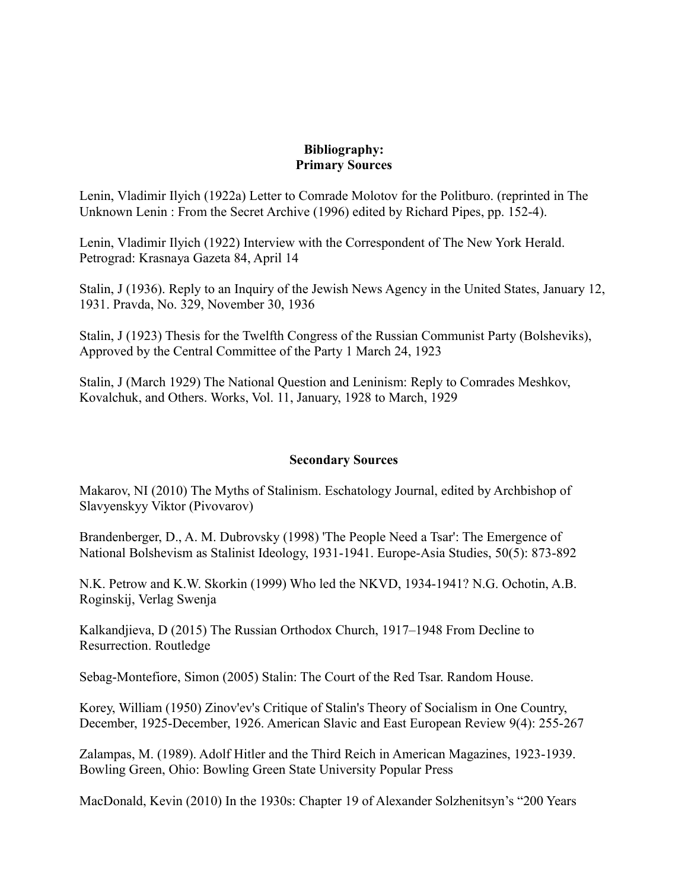## **Bibliography: Primary Sources**

Lenin, Vladimir Ilyich (1922a) Letter to Comrade Molotov for the Politburo. (reprinted in The Unknown Lenin : From the Secret Archive (1996) edited by Richard Pipes, pp. 152-4).

Lenin, Vladimir Ilyich (1922) Interview with the Correspondent of The New York Herald. Petrograd: Krasnaya Gazeta 84, April 14

Stalin, J (1936). Reply to an Inquiry of the Jewish News Agency in the United States, January 12, 1931. Pravda, No. 329, November 30, 1936

Stalin, J (1923) Thesis for the Twelfth Congress of the Russian Communist Party (Bolsheviks), Approved by the Central Committee of the Party 1 March 24, 1923

Stalin, J (March 1929) The National Question and Leninism: Reply to Comrades Meshkov, Kovalchuk, and Others. Works, Vol. 11, January, 1928 to March, 1929

## **Secondary Sources**

Makarov, NI (2010) The Myths of Stalinism. Eschatology Journal, edited by Archbishop of Slavyenskyy Viktor (Pivovarov)

Brandenberger, D., A. M. Dubrovsky (1998) 'The People Need a Tsar': The Emergence of National Bolshevism as Stalinist Ideology, 1931-1941. Europe-Asia Studies, 50(5): 873-892

N.K. Petrow and K.W. Skorkin (1999) Who led the NKVD, 1934-1941? N.G. Ochotin, A.B. Roginskij, Verlag Swenja

Kalkandjieva, D (2015) The Russian Orthodox Church, 1917–1948 From Decline to Resurrection. Routledge

Sebag-Montefiore, Simon (2005) Stalin: The Court of the Red Tsar. Random House.

Korey, William (1950) Zinov'ev's Critique of Stalin's Theory of Socialism in One Country, December, 1925-December, 1926. American Slavic and East European Review 9(4): 255-267

Zalampas, M. (1989). Adolf Hitler and the Third Reich in American Magazines, 1923-1939. Bowling Green, Ohio: Bowling Green State University Popular Press

MacDonald, Kevin (2010) In the 1930s: Chapter 19 of Alexander Solzhenitsyn's "200 Years